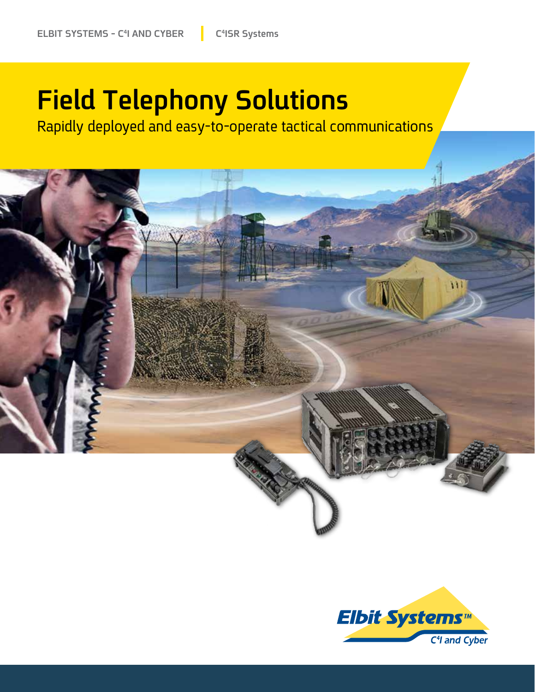### **Field Telephony Solutions**

Rapidly deployed and easy-to-operate tactical communications



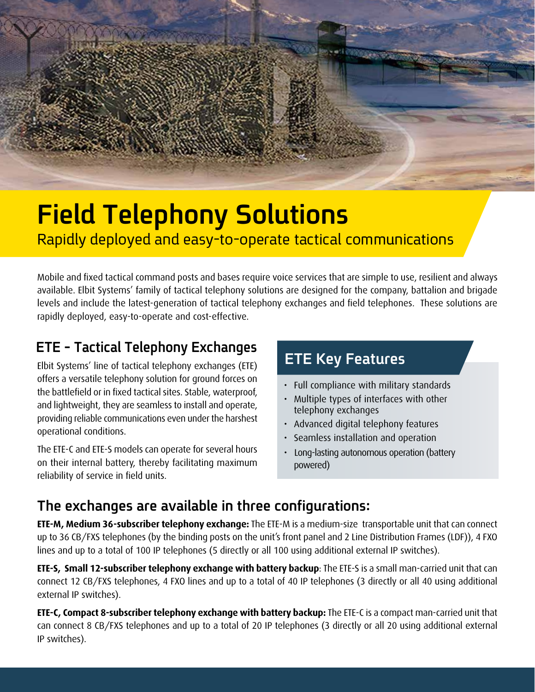

# **Field Telephony Solutions**

Rapidly deployed and easy-to-operate tactical communications

Mobile and fixed tactical command posts and bases require voice services that are simple to use, resilient and always available. Elbit Systems' family of tactical telephony solutions are designed for the company, battalion and brigade levels and include the latest-generation of tactical telephony exchanges and field telephones. These solutions are rapidly deployed, easy-to-operate and cost-effective.

#### **ETE - Tactical Telephony Exchanges**

Elbit Systems' line of tactical telephony exchanges (ETE) offers a versatile telephony solution for ground forces on the battlefield or in fixed tactical sites. Stable, waterproof, and lightweight, they are seamless to install and operate, providing reliable communications even under the harshest operational conditions.

The ETE-C and ETE-S models can operate for several hours on their internal battery, thereby facilitating maximum reliability of service in field units.

#### **ETE Key Features**

- Full compliance with military standards
- Multiple types of interfaces with other telephony exchanges
- Advanced digital telephony features
- Seamless installation and operation
- Long-lasting autonomous operation (battery (powered

#### The exchanges are available in three configurations:

**ETE-M, Medium 36-subscriber telephony exchange:** The ETE-M is a medium-size transportable unit that can connect up to 36 CB/FXS telephones (by the binding posts on the unit's front panel and 2 Line Distribution Frames (LDF)), 4 FXO lines and up to a total of 100 IP telephones (5 directly or all 100 using additional external IP switches).

ETE-S, Small 12-subscriber telephony exchange with battery backup: The ETE-S is a small man-carried unit that can connect 12 CB/FXS telephones, 4 FXO lines and up to a total of 40 IP telephones (3 directly or all 40 using additional external IP switches).

**ETE-C, Compact 8-subscriber telephony exchange with battery backup:** The ETE-C is a compact man-carried unit that can connect 8 CB/FXS telephones and up to a total of 20 IP telephones (3 directly or all 20 using additional external IP switches).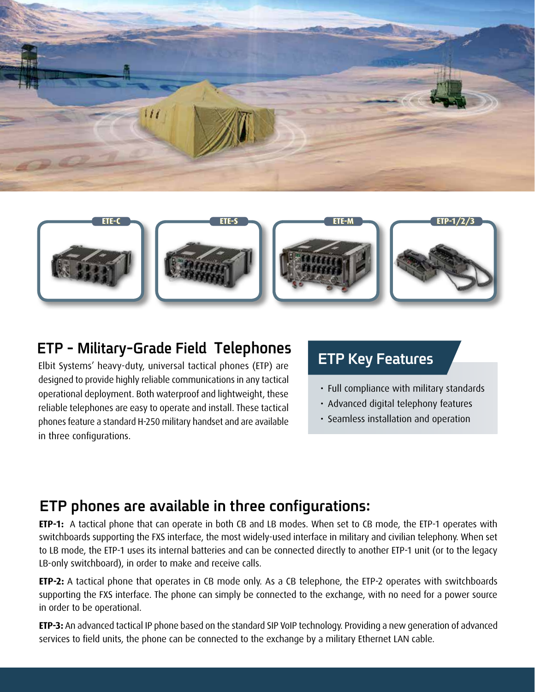



#### **ETP - Military-Grade Field Telephones**

Elbit Systems' heavy-duty, universal tactical phones (ETP) are designed to provide highly reliable communications in any tactical operational deployment. Both waterproof and lightweight, these reliable telephones are easy to operate and install. These tactical phones feature a standard H-250 military handset and are available in three configurations.

#### **ETP Key Features**

- Full compliance with military standards
- Advanced digital telephony features
- Seamless installation and operation

#### **ETP** phones are available in three configurations:

ETP-1: A tactical phone that can operate in both CB and LB modes. When set to CB mode, the ETP-1 operates with switchboards supporting the FXS interface, the most widely-used interface in military and civilian telephony. When set to LB mode, the ETP-1 uses its internal batteries and can be connected directly to another ETP-1 unit (or to the legacy LB-only switchboard), in order to make and receive calls.

**ETP-2:** A tactical phone that operates in CB mode only. As a CB telephone, the ETP-2 operates with switchboards supporting the FXS interface. The phone can simply be connected to the exchange, with no need for a power source in order to be operational.

**ETP-3:** An advanced tactical IP phone based on the standard SIP VoIP technology. Providing a new generation of advanced services to field units, the phone can be connected to the exchange by a military Ethernet LAN cable.